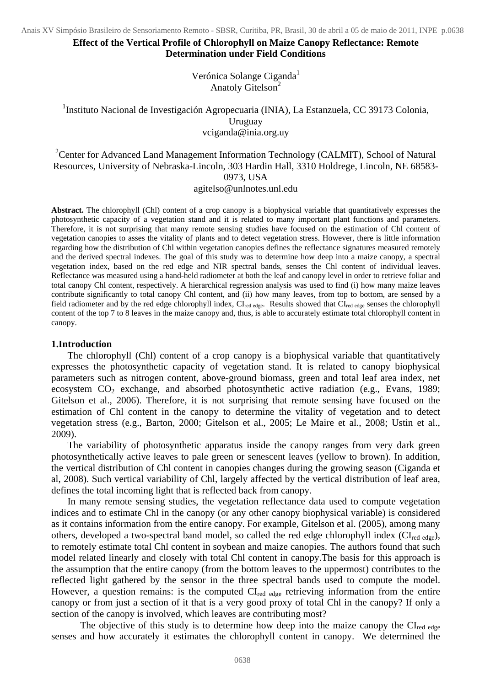# **Effect of the Vertical Profile of Chlorophyll on Maize Canopy Reflectance: Remote Determination under Field Conditions**

Verónica Solange Ciganda<sup>1</sup> Anatoly Gitelson<sup>2</sup>

<sup>1</sup>Instituto Nacional de Investigación Agropecuaria (INIA), La Estanzuela, CC 39173 Colonia, Uruguay vciganda@inia.org.uy

<sup>2</sup> Center for Advanced Land Management Information Technology (CALMIT), School of Natural Resources, University of Nebraska-Lincoln, 303 Hardin Hall, 3310 Holdrege, Lincoln, NE 68583- 0973, USA agitelso@unlnotes.unl.edu

**Abstract.** The chlorophyll (Chl) content of a crop canopy is a biophysical variable that quantitatively expresses the photosynthetic capacity of a vegetation stand and it is related to many important plant functions and parameters. Therefore, it is not surprising that many remote sensing studies have focused on the estimation of Chl content of vegetation canopies to asses the vitality of plants and to detect vegetation stress. However, there is little information regarding how the distribution of Chl within vegetation canopies defines the reflectance signatures measured remotely and the derived spectral indexes. The goal of this study was to determine how deep into a maize canopy, a spectral vegetation index, based on the red edge and NIR spectral bands, senses the Chl content of individual leaves. Reflectance was measured using a hand-held radiometer at both the leaf and canopy level in order to retrieve foliar and total canopy Chl content, respectively. A hierarchical regression analysis was used to find (i) how many maize leaves contribute significantly to total canopy Chl content, and (ii) how many leaves, from top to bottom, are sensed by a field radiometer and by the red edge chlorophyll index, CI<sub>red edge</sub>. Results showed that CI<sub>red edge</sub> senses the chlorophyll content of the top 7 to 8 leaves in the maize canopy and, thus, is able to accurately estimate total chlorophyll content in canopy.

### **1.Introduction**

The chlorophyll (Chl) content of a crop canopy is a biophysical variable that quantitatively expresses the photosynthetic capacity of vegetation stand. It is related to canopy biophysical parameters such as nitrogen content, above-ground biomass, green and total leaf area index, net ecosystem  $CO<sub>2</sub>$  exchange, and absorbed photosynthetic active radiation (e.g., Evans, 1989; Gitelson et al., 2006). Therefore, it is not surprising that remote sensing have focused on the estimation of Chl content in the canopy to determine the vitality of vegetation and to detect vegetation stress (e.g., Barton, 2000; Gitelson et al., 2005; Le Maire et al., 2008; Ustin et al., 2009).

The variability of photosynthetic apparatus inside the canopy ranges from very dark green photosynthetically active leaves to pale green or senescent leaves (yellow to brown). In addition, the vertical distribution of Chl content in canopies changes during the growing season (Ciganda et al, 2008). Such vertical variability of Chl, largely affected by the vertical distribution of leaf area, defines the total incoming light that is reflected back from canopy.

In many remote sensing studies, the vegetation reflectance data used to compute vegetation indices and to estimate Chl in the canopy (or any other canopy biophysical variable) is considered as it contains information from the entire canopy. For example, Gitelson et al. (2005), among many others, developed a two-spectral band model, so called the red edge chlorophyll index (CI<sub>red edge</sub>), to remotely estimate total Chl content in soybean and maize canopies. The authors found that such model related linearly and closely with total Chl content in canopy.The basis for this approach is the assumption that the entire canopy (from the bottom leaves to the uppermost) contributes to the reflected light gathered by the sensor in the three spectral bands used to compute the model. However, a question remains: is the computed CI<sub>red edge</sub> retrieving information from the entire canopy or from just a section of it that is a very good proxy of total Chl in the canopy? If only a section of the canopy is involved, which leaves are contributing most?

The objective of this study is to determine how deep into the maize canopy the CI<sub>red edge</sub> senses and how accurately it estimates the chlorophyll content in canopy. We determined the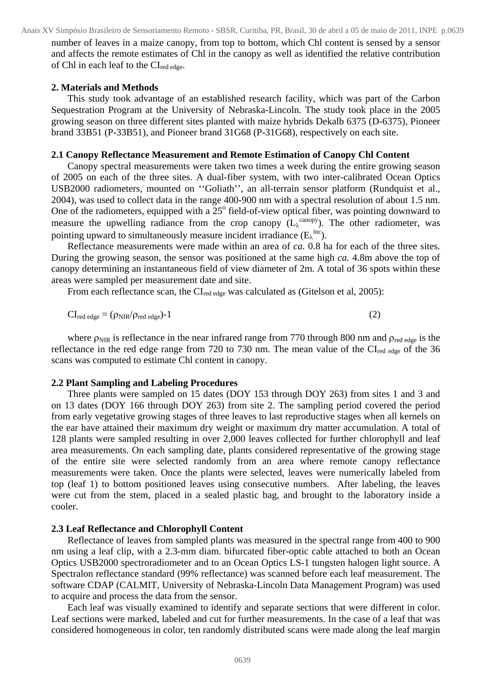number of leaves in a maize canopy, from top to bottom, which Chl content is sensed by a sensor and affects the remote estimates of Chl in the canopy as well as identified the relative contribution of Chl in each leaf to the  $CI_{red \, edge}$ .

## **2. Materials and Methods**

This study took advantage of an established research facility, which was part of the Carbon Sequestration Program at the University of Nebraska-Lincoln. The study took place in the 2005 growing season on three different sites planted with maize hybrids Dekalb 6375 (D-6375), Pioneer brand 33B51 (P-33B51), and Pioneer brand 31G68 (P-31G68), respectively on each site.

# **2.1 Canopy Reflectance Measurement and Remote Estimation of Canopy Chl Content**

Canopy spectral measurements were taken two times a week during the entire growing season of 2005 on each of the three sites. A dual-fiber system, with two inter-calibrated Ocean Optics USB2000 radiometers, mounted on ''Goliath'', an all-terrain sensor platform (Rundquist et al., 2004), was used to collect data in the range 400-900 nm with a spectral resolution of about 1.5 nm. One of the radiometers, equipped with a  $25^{\circ}$  field-of-view optical fiber, was pointing downward to measure the upwelling radiance from the crop canopy  $(L_\lambda^{\text{canopy}})$ . The other radiometer, was pointing upward to simultaneously measure incident irradiance  $(E_\lambda^{\text{inc}})$ .

Reflectance measurements were made within an area of *ca.* 0.8 ha for each of the three sites. During the growing season, the sensor was positioned at the same high *ca.* 4.8m above the top of canopy determining an instantaneous field of view diameter of 2m. A total of 36 spots within these areas were sampled per measurement date and site.

From each reflectance scan, the CI<sub>red edge</sub> was calculated as (Gitelson et al, 2005):

$$
CI_{red edge} = (\rho_{NIR}/\rho_{red edge}) - 1
$$
 (2)

where  $\rho_{\text{NIR}}$  is reflectance in the near infrared range from 770 through 800 nm and  $\rho_{\text{red edge}}$  is the reflectance in the red edge range from 720 to 730 nm. The mean value of the CI<sub>red edge</sub> of the 36 scans was computed to estimate Chl content in canopy.

## **2.2 Plant Sampling and Labeling Procedures**

Three plants were sampled on 15 dates (DOY 153 through DOY 263) from sites 1 and 3 and on 13 dates (DOY 166 through DOY 263) from site 2. The sampling period covered the period from early vegetative growing stages of three leaves to last reproductive stages when all kernels on the ear have attained their maximum dry weight or maximum dry matter accumulation. A total of 128 plants were sampled resulting in over 2,000 leaves collected for further chlorophyll and leaf area measurements. On each sampling date, plants considered representative of the growing stage of the entire site were selected randomly from an area where remote canopy reflectance measurements were taken. Once the plants were selected, leaves were numerically labeled from top (leaf 1) to bottom positioned leaves using consecutive numbers. After labeling, the leaves were cut from the stem, placed in a sealed plastic bag, and brought to the laboratory inside a cooler.

# **2.3 Leaf Reflectance and Chlorophyll Content**

Reflectance of leaves from sampled plants was measured in the spectral range from 400 to 900 nm using a leaf clip, with a 2.3-mm diam. bifurcated fiber-optic cable attached to both an Ocean Optics USB2000 spectroradiometer and to an Ocean Optics LS-1 tungsten halogen light source. A Spectralon reflectance standard (99% reflectance) was scanned before each leaf measurement. The software CDAP (CALMIT, University of Nebraska-Lincoln Data Management Program) was used to acquire and process the data from the sensor.

Each leaf was visually examined to identify and separate sections that were different in color. Leaf sections were marked, labeled and cut for further measurements. In the case of a leaf that was considered homogeneous in color, ten randomly distributed scans were made along the leaf margin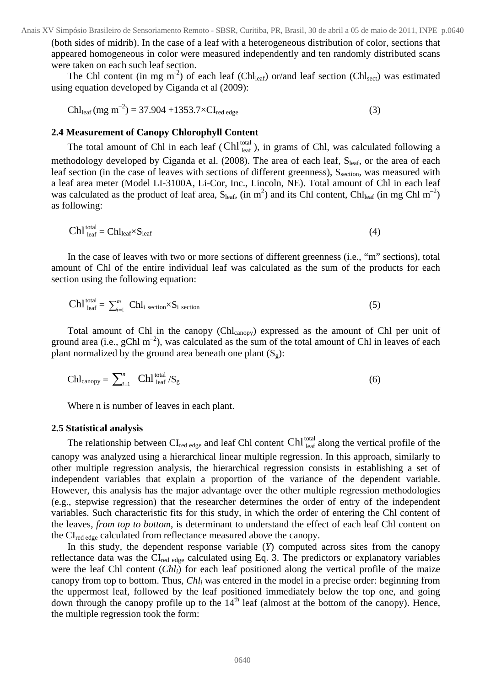(both sides of midrib). In the case of a leaf with a heterogeneous distribution of color, sections that appeared homogeneous in color were measured independently and ten randomly distributed scans were taken on each such leaf section.

The Chl content (in mg m<sup>-2</sup>) of each leaf (Chl<sub>leaf</sub>) or/and leaf section (Chl<sub>sect</sub>) was estimated using equation developed by Ciganda et al (2009):

$$
Chl_{\text{leaf}}(mg \, m^{-2}) = 37.904 + 1353.7 \times CI_{\text{red edge}}
$$
 (3)

### **2.4 Measurement of Canopy Chlorophyll Content**

The total amount of Chl in each leaf (Chl  $_{\text{leaf}}^{\text{total}}$ ), in grams of Chl, was calculated following a methodology developed by Ciganda et al. (2008). The area of each leaf, S<sub>leaf</sub>, or the area of each leaf section (in the case of leaves with sections of different greenness),  $S<sub>section</sub>$ , was measured with a leaf area meter (Model LI-3100A, Li-Cor, Inc., Lincoln, NE). Total amount of Chl in each leaf was calculated as the product of leaf area,  $S_{leaf}$ , (in m<sup>2</sup>) and its Chl content, Chl<sub>leaf</sub> (in mg Chl m<sup>-2</sup>) as following:

$$
Ch1_{\text{leaf}}^{\text{total}} = Ch1_{\text{leaf}} \times S_{\text{leaf}} \tag{4}
$$

In the case of leaves with two or more sections of different greenness (i.e., "m" sections), total amount of Chl of the entire individual leaf was calculated as the sum of the products for each section using the following equation:

$$
\text{Chl}^{\text{total}}_{\text{leaf}} = \sum_{i=1}^{m} \text{Chl}_{i \text{ section}} \times S_{i \text{ section}}
$$
 (5)

Total amount of Chl in the canopy (Chl<sub>canopy</sub>) expressed as the amount of Chl per unit of ground area (i.e.,  $gChl m^{-2}$ ), was calculated as the sum of the total amount of Chl in leaves of each plant normalized by the ground area beneath one plant  $(S_g)$ :

$$
\text{Chl}_{\text{canopy}} = \sum_{i=1}^{n} \text{ Chl}^{\text{total}}_{\text{leaf}} / S_{g} \tag{6}
$$

Where n is number of leaves in each plant.

### **2.5 Statistical analysis**

The relationship between  $CI_{red \ edge}$  and leaf Chl content Chl  $_{leaf}^{total}$  along the vertical profile of the canopy was analyzed using a hierarchical linear multiple regression. In this approach, similarly to other multiple regression analysis, the hierarchical regression consists in establishing a set of independent variables that explain a proportion of the variance of the dependent variable. However, this analysis has the major advantage over the other multiple regression methodologies (e.g., stepwise regression) that the researcher determines the order of entry of the independent variables. Such characteristic fits for this study, in which the order of entering the Chl content of the leaves, *from top to bottom*, is determinant to understand the effect of each leaf Chl content on the CI<sub>red edge</sub> calculated from reflectance measured above the canopy.

In this study, the dependent response variable (*Y*) computed across sites from the canopy reflectance data was the CI<sub>red edge</sub> calculated using Eq. 3. The predictors or explanatory variables were the leaf Chl content (*Chl<sub>i</sub>*) for each leaf positioned along the vertical profile of the maize canopy from top to bottom. Thus, *Chli* was entered in the model in a precise order: beginning from the uppermost leaf, followed by the leaf positioned immediately below the top one, and going down through the canopy profile up to the  $14<sup>th</sup>$  leaf (almost at the bottom of the canopy). Hence, the multiple regression took the form: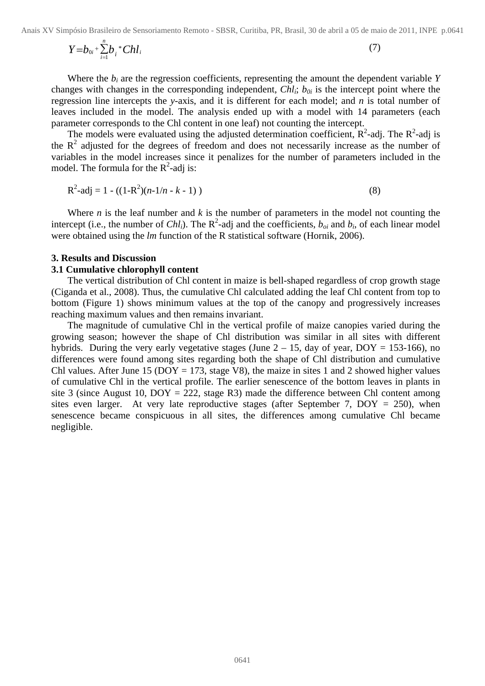$$
Y = b_{0i} + \sum_{i=1}^{n} b_i * Chl_i
$$
 (7)

Where the  $b_i$  are the regression coefficients, representing the amount the dependent variable  $Y$ changes with changes in the corresponding independent, *Chl<sub>i</sub>*;  $b_{0i}$  is the intercept point where the regression line intercepts the *y*-axis, and it is different for each model; and *n* is total number of leaves included in the model. The analysis ended up with a model with 14 parameters (each parameter corresponds to the Chl content in one leaf) not counting the intercept.

The models were evaluated using the adjusted determination coefficient,  $R^2$ -adj. The  $R^2$ -adj is the  $R<sup>2</sup>$  adjusted for the degrees of freedom and does not necessarily increase as the number of variables in the model increases since it penalizes for the number of parameters included in the model. The formula for the  $R^2$ -adj is:

$$
R^2 - adj = 1 - ((1 - R^2)(n - 1/n - k - 1))
$$
\n(8)

Where *n* is the leaf number and *k* is the number of parameters in the model not counting the intercept (i.e., the number of *Chl<sub>i</sub>*). The R<sup>2</sup>-adj and the coefficients,  $b_{oi}$  and  $b_i$ , of each linear model were obtained using the *lm* function of the R statistical software (Hornik, 2006).

### **3. Results and Discussion**

#### **3.1 Cumulative chlorophyll content**

The vertical distribution of Chl content in maize is bell-shaped regardless of crop growth stage (Ciganda et al., 2008). Thus, the cumulative Chl calculated adding the leaf Chl content from top to bottom (Figure 1) shows minimum values at the top of the canopy and progressively increases reaching maximum values and then remains invariant.

The magnitude of cumulative Chl in the vertical profile of maize canopies varied during the growing season; however the shape of Chl distribution was similar in all sites with different hybrids. During the very early vegetative stages (June  $2 - 15$ , day of year, DOY = 153-166), no differences were found among sites regarding both the shape of Chl distribution and cumulative Chl values. After June 15 ( $Doy = 173$ , stage V8), the maize in sites 1 and 2 showed higher values of cumulative Chl in the vertical profile. The earlier senescence of the bottom leaves in plants in site 3 (since August 10,  $DOY = 222$ , stage R3) made the difference between Chl content among sites even larger. At very late reproductive stages (after September 7,  $DOY = 250$ ), when senescence became conspicuous in all sites, the differences among cumulative Chl became negligible.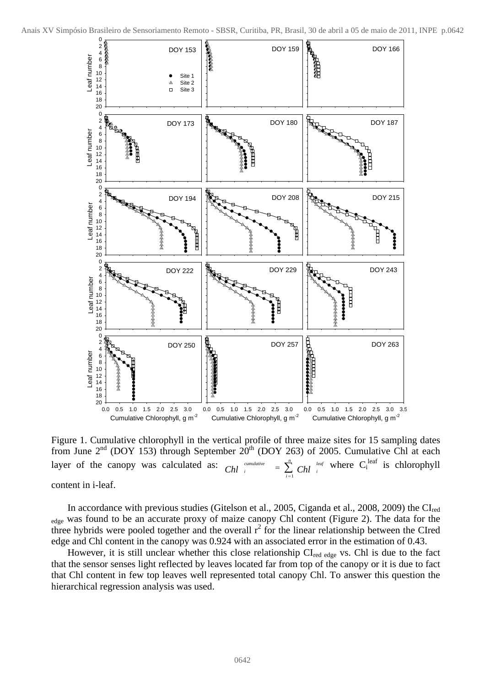

Figure 1. Cumulative chlorophyll in the vertical profile of three maize sites for 15 sampling dates from June  $2<sup>nd</sup>$  (DOY 153) through September  $20<sup>th</sup>$  (DOY 263) of 2005. Cumulative Chl at each layer of the canopy was calculated as:  $Chl_i^{comulative} = \sum_{i=1}^{n} Chl_i^{leaf}$  where  $C_i^{leaf}$  is chlorophyll content in i-leaf. *i leaf i Chl*  $\int_{i}^{cumulative} = \sum_{i=1}^{n} Chl$ 

In accordance with previous studies (Gitelson et al., 2005, Ciganda et al., 2008, 2009) the CIred edge was found to be an accurate proxy of maize canopy Chl content (Figure 2). The data for the three hybrids were pooled together and the overall  $r^2$  for the linear relationship between the CIred edge and Chl content in the canopy was 0.924 with an associated error in the estimation of 0.43.

However, it is still unclear whether this close relationship CI<sub>red edge</sub> vs. Chl is due to the fact that the sensor senses light reflected by leaves located far from top of the canopy or it is due to fact that Chl content in few top leaves well represented total canopy Chl. To answer this question the hierarchical regression analysis was used.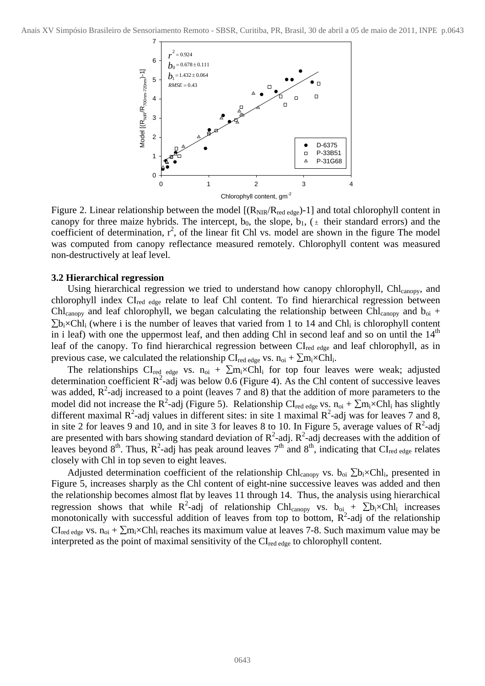

Figure 2. Linear relationship between the model  $[(R_{NIR}/R_{red\ edge})-1]$  and total chlorophyll content in canopy for three maize hybrids. The intercept,  $b_0$ , the slope,  $b_1$ , ( $\pm$  their standard errors) and the coefficient of determination,  $r^2$ , of the linear fit Chl vs. model are shown in the figure The model was computed from canopy reflectance measured remotely. Chlorophyll content was measured non-destructively at leaf level.

### **3.2 Hierarchical regression**

Using hierarchical regression we tried to understand how canopy chlorophyll, Chl<sub>canopy</sub>, and chlorophyll index CI<sub>red edge</sub> relate to leaf Chl content. To find hierarchical regression between Chl<sub>canopy</sub> and leaf chlorophyll, we began calculating the relationship between Chl<sub>canopy</sub> and  $b_{oi}$  +  $\sum b_i \times Chl_i$  (where i is the number of leaves that varied from 1 to 14 and Chl<sub>i</sub> is chlorophyll content in i leaf) with one the uppermost leaf, and then adding Chl in second leaf and so on until the  $14<sup>th</sup>$ leaf of the canopy. To find hierarchical regression between CI<sub>red edge</sub> and leaf chlorophyll, as in previous case, we calculated the relationship CI<sub>red edge</sub> vs.  $n_{oi} + \sum m_i \times Chl_i$ .

The relationships  $CI_{red}$  edge vs.  $n_{oi}$  +  $\sum m_i \times Chl_i$  for top four leaves were weak; adjusted determination coefficient  $R^2$ -adj was below 0.6 (Figure 4). As the Chl content of successive leaves was added,  $R^2$ -adj increased to a point (leaves 7 and 8) that the addition of more parameters to the model did not increase the R<sup>2</sup>-adj (Figure 5). Relationship CI<sub>red edge</sub> vs.  $n_{oi} + \sum m_i \times Chl_i$  has slightly different maximal  $R^2$ -adj values in different sites: in site 1 maximal  $R^2$ -adj was for leaves 7 and 8, in site 2 for leaves 9 and 10, and in site 3 for leaves 8 to 10. In Figure 5, average values of  $\mathbb{R}^2$ -adj are presented with bars showing standard deviation of  $R^2$ -adj.  $R^2$ -adj decreases with the addition of leaves beyond  $8^{th}$ . Thus,  $R^2$ -adj has peak around leaves  $7^{th}$  and  $8^{th}$ , indicating that CI<sub>red edge</sub> relates closely with Chl in top seven to eight leaves.

Adjusted determination coefficient of the relationship Chl<sub>canopy</sub> vs. b<sub>oi</sub> ∑b<sub>i</sub>×Chl<sub>i</sub>, presented in Figure 5, increases sharply as the Chl content of eight-nine successive leaves was added and then the relationship becomes almost flat by leaves 11 through 14. Thus, the analysis using hierarchical regression shows that while  $R^2$ -adj of relationship Chl<sub>canopy</sub> vs.  $b_{oi} + \sum b_i \times Chl_i$  increases monotonically with successful addition of leaves from top to bottom,  $R^2$ -adj of the relationship  $CI_{red \, edge}$  vs.  $n_{oi} + \sum m_i \times Chl_i$  reaches its maximum value at leaves 7-8. Such maximum value may be interpreted as the point of maximal sensitivity of the CI<sub>red edge</sub> to chlorophyll content.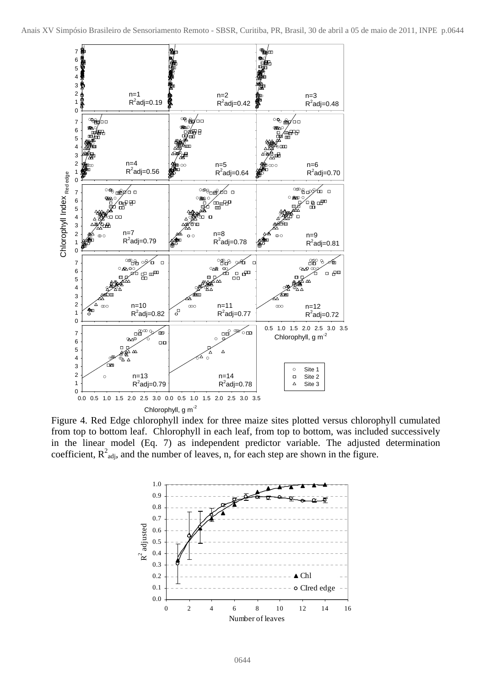

 Figure 4. Red Edge chlorophyll index for three maize sites plotted versus chlorophyll cumulated from top to bottom leaf. Chlorophyll in each leaf, from top to bottom, was included successively in the linear model (Eq. 7) as independent predictor variable. The adjusted determination coefficient,  $R^2_{adj}$ , and the number of leaves, n, for each step are shown in the figure.

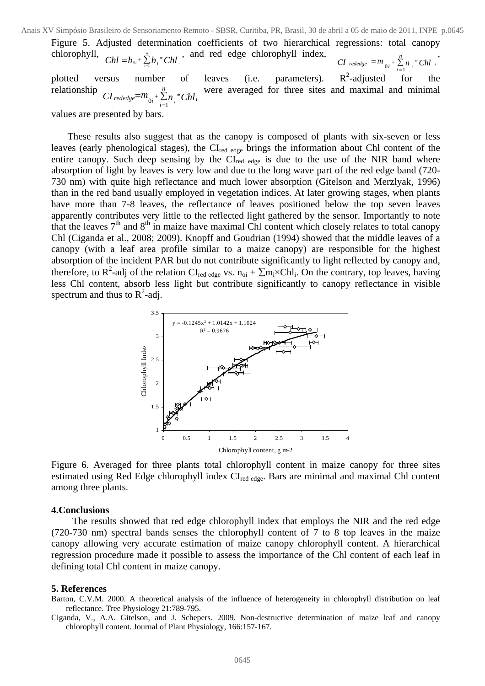Figure 5. Adjusted determination coefficients of two hierarchical regressions: total canopy chlorophyll,  $CH - h + \sum_{k=0}^{n} h * Chl$ , and red edge chlorophyll index,  $Chl = b_{0i} + \sum_{i=1}^{n} b_i * Chl$  $=$   $b$  <sub>0</sub>i  $+$   $\sum\limits_{i=1}^{\infty}$   $b$ <sub>i</sub>  $^{*}$  $+ \sum_{i=1}^{n} b_i * Chl_i$ , and red edge chlorophyli index,<br>*CI* rededge =  $m_{0i} + \sum_{i=1}^{n} n_i * Chl_i$ *rededge*  $= m_{0i} + \sum_{i=1}^{n} n_{i}$ +

plotted versus number of leaves (i.e. parameters).  $R^2$ -adjusted for the relationship  $\sum_{n=1}^n$  were averaged for three sites and maximal and minimal  $CI$   $_{rededge} = m_{0i} + \sum_{i=1}^{n} n_{i} * Chl_{i}$  $\int_{0}^{1} e^{i t} e^{i t} dt = m \frac{1}{2} m \frac{1}{2}$ +

values are presented by bars.

These results also suggest that as the canopy is composed of plants with six-seven or less leaves (early phenological stages), the CI<sub>red edge</sub> brings the information about Chl content of the entire canopy. Such deep sensing by the CI<sub>red edge</sub> is due to the use of the NIR band where absorption of light by leaves is very low and due to the long wave part of the red edge band (720- 730 nm) with quite high reflectance and much lower absorption (Gitelson and Merzlyak, 1996) than in the red band usually employed in vegetation indices. At later growing stages, when plants have more than 7-8 leaves, the reflectance of leaves positioned below the top seven leaves apparently contributes very little to the reflected light gathered by the sensor. Importantly to note that the leaves  $7<sup>th</sup>$  and  $8<sup>th</sup>$  in maize have maximal Chl content which closely relates to total canopy Chl (Ciganda et al., 2008; 2009). Knopff and Goudrian (1994) showed that the middle leaves of a canopy (with a leaf area profile similar to a maize canopy) are responsible for the highest absorption of the incident PAR but do not contribute significantly to light reflected by canopy and, therefore, to R<sup>2</sup>-adj of the relation CI<sub>red edge</sub> vs.  $n_{oi} + \sum m_i \times Chl_i$ . On the contrary, top leaves, having less Chl content, absorb less light but contribute significantly to canopy reflectance in visible spectrum and thus to  $R^2$ -adj.



Figure 6. Averaged for three plants total chlorophyll content in maize canopy for three sites estimated using Red Edge chlorophyll index CI<sub>red edge</sub>. Bars are minimal and maximal Chl content among three plants.

#### **4.Conclusions**

 The results showed that red edge chlorophyll index that employs the NIR and the red edge (720-730 nm) spectral bands senses the chlorophyll content of 7 to 8 top leaves in the maize canopy allowing very accurate estimation of maize canopy chlorophyll content. A hierarchical regression procedure made it possible to assess the importance of the Chl content of each leaf in defining total Chl content in maize canopy.

#### **5. References**

Barton, C.V.M. 2000. A theoretical analysis of the influence of heterogeneity in chlorophyll distribution on leaf reflectance. Tree Physiology 21:789-795.

Ciganda, V., A.A. Gitelson, and J. Schepers. 2009. Non-destructive determination of maize leaf and canopy chlorophyll content. Journal of Plant Physiology, 166:157-167.